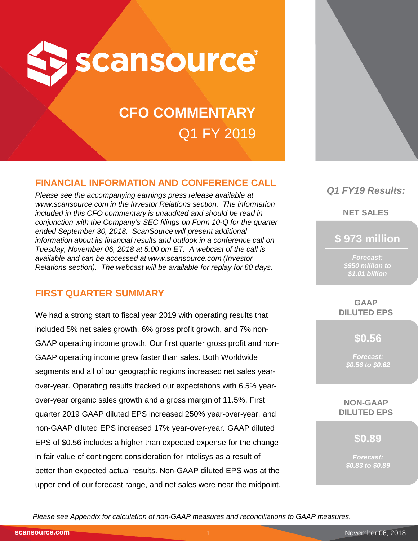

# **CFO COMMENTARY** Q1 FY 2019

# **FINANCIAL INFORMATION AND CONFERENCE CALL**

*Please see the accompanying earnings press release available at www.scansource.com in the Investor Relations section. The information included in this CFO commentary is unaudited and should be read in conjunction with the Company's SEC filings on Form 10-Q for the quarter ended September 30, 2018. ScanSource will present additional information about its financial results and outlook in a conference call on Tuesday, November 06, 2018 at 5:00 pm ET. A webcast of the call is available and can be accessed at www.scansource.com (Investor Relations section). The webcast will be available for replay for 60 days.*

# **FIRST QUARTER SUMMARY**

We had a strong start to fiscal year 2019 with operating results that included 5% net sales growth, 6% gross profit growth, and 7% non-GAAP operating income growth. Our first quarter gross profit and non-GAAP operating income grew faster than sales. Both Worldwide segments and all of our geographic regions increased net sales yearover-year. Operating results tracked our expectations with 6.5% yearover-year organic sales growth and a gross margin of 11.5%. First quarter 2019 GAAP diluted EPS increased 250% year-over-year, and non-GAAP diluted EPS increased 17% year-over-year. GAAP diluted EPS of \$0.56 includes a higher than expected expense for the change in fair value of contingent consideration for Intelisys as a result of better than expected actual results. Non-GAAP diluted EPS was at the upper end of our forecast range, and net sales were near the midpoint.



# *Q1 FY19 Results:*

**NET SALES**

**\$ 973 million**

*Forecast: \$950 million to \$1.01 billion*

**GAAP DILUTED EPS**

**\$0.56**

*Forecast: \$0.56 to \$0.62*

**NON-GAAP DILUTED EPS**

**\$0.89**

*Forecast: \$0.83 to \$0.89*

*Please see Appendix for calculation of non-GAAP measures and reconciliations to GAAP measures.*

**scansource.com**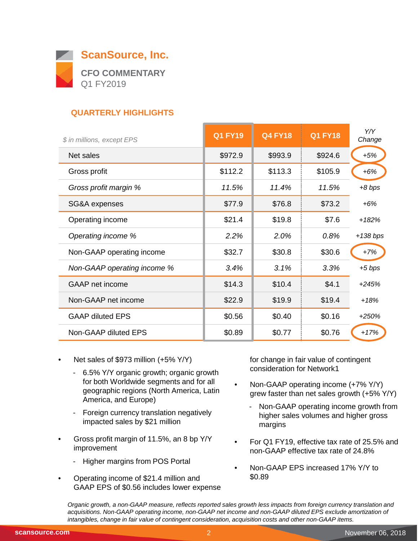

# **QUARTERLY HIGHLIGHTS**

| \$ in millions, except EPS  | <b>Q1 FY19</b> | <b>Q4 FY18</b> | <b>Q1 FY18</b> | Y/Y<br>Change |
|-----------------------------|----------------|----------------|----------------|---------------|
| Net sales                   | \$972.9        | \$993.9        | \$924.6        | $+5%$         |
| Gross profit                | \$112.2        | \$113.3        | \$105.9        | $+6%$         |
| Gross profit margin %       | 11.5%          | 11.4%          | 11.5%          | $+8$ bps      |
| SG&A expenses               | \$77.9         | \$76.8         | \$73.2         | $+6%$         |
| Operating income            | \$21.4         | \$19.8         | \$7.6          | $+182%$       |
| Operating income %          | 2.2%           | 2.0%           | 0.8%           | $+138$ bps    |
| Non-GAAP operating income   | \$32.7         | \$30.8         | \$30.6         | $+7%$         |
| Non-GAAP operating income % | 3.4%           | 3.1%           | 3.3%           | $+5$ bps      |
| <b>GAAP</b> net income      | \$14.3         | \$10.4         | \$4.1          | $+245%$       |
| Non-GAAP net income         | \$22.9         | \$19.9         | \$19.4         | $+18%$        |
| <b>GAAP diluted EPS</b>     | \$0.56         | \$0.40         | \$0.16         | $+250%$       |
| Non-GAAP diluted EPS        | \$0.89         | \$0.77         | \$0.76         | $+17%$        |

- Net sales of \$973 million (+5% Y/Y)
	- 6.5% Y/Y organic growth; organic growth for both Worldwide segments and for all geographic regions (North America, Latin America, and Europe)
	- Foreign currency translation negatively impacted sales by \$21 million
- Gross profit margin of 11.5%, an 8 bp Y/Y improvement
	- Higher margins from POS Portal
- Operating income of \$21.4 million and GAAP EPS of \$0.56 includes lower expense

for change in fair value of contingent consideration for Network1

- Non-GAAP operating income (+7% Y/Y) grew faster than net sales growth (+5% Y/Y)
	- Non-GAAP operating income growth from higher sales volumes and higher gross margins
- For Q1 FY19, effective tax rate of 25.5% and non-GAAP effective tax rate of 24.8%
- Non-GAAP EPS increased 17% Y/Y to \$0.89

*Organic growth, a non-GAAP measure, reflects reported sales growth less impacts from foreign currency translation and acquisitions. Non-GAAP operating income, non-GAAP net income and non-GAAP diluted EPS exclude amortization of intangibles, change in fair value of contingent consideration, acquisition costs and other non-GAAP items.*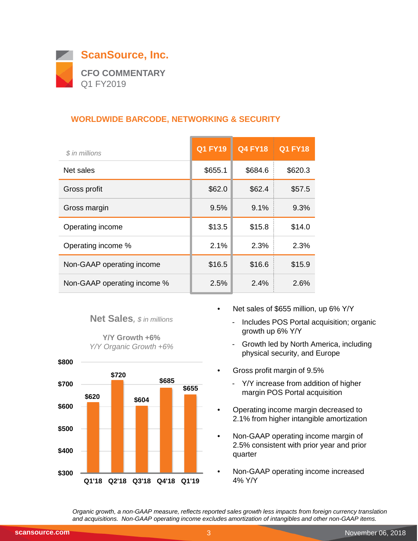

## **WORLDWIDE BARCODE, NETWORKING & SECURITY**

| \$ in millions              | <b>Q1 FY19</b> | <b>Q4 FY18</b> | <b>Q1 FY18</b> |
|-----------------------------|----------------|----------------|----------------|
| Net sales                   | \$655.1        | \$684.6        | \$620.3        |
| Gross profit                | \$62.0         | \$62.4         | \$57.5         |
| Gross margin                | 9.5%           | 9.1%           | 9.3%           |
| Operating income            | \$13.5         | \$15.8         | \$14.0         |
| Operating income %          | 2.1%           | 2.3%           | 2.3%           |
| Non-GAAP operating income   | \$16.5         | \$16.6         | \$15.9         |
| Non-GAAP operating income % | 2.5%           | 2.4%           | 2.6%           |

#### **Net Sales***, \$ in millions*

**Y/Y Growth +6%** *Y/Y Organic Growth +6%*



- Net sales of \$655 million, up 6% Y/Y
	- Includes POS Portal acquisition; organic growth up 6% Y/Y
	- Growth led by North America, including physical security, and Europe
- Gross profit margin of 9.5%
	- Y/Y increase from addition of higher margin POS Portal acquisition
- Operating income margin decreased to 2.1% from higher intangible amortization
- Non-GAAP operating income margin of 2.5% consistent with prior year and prior quarter
- Non-GAAP operating income increased 4% Y/Y

*Organic growth, a non-GAAP measure, reflects reported sales growth less impacts from foreign currency translation and acquisitions. Non-GAAP operating income excludes amortization of intangibles and other non-GAAP items.*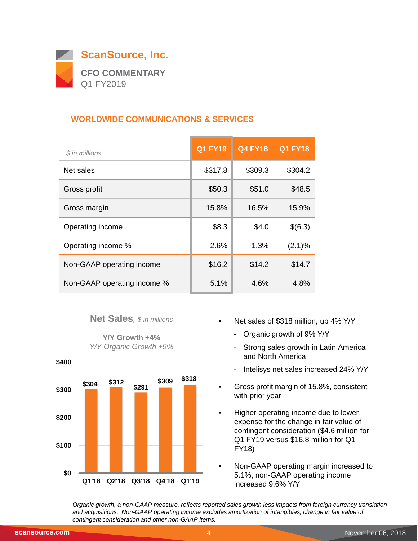

## **WORLDWIDE COMMUNICATIONS & SERVICES**

| \$ in millions              | <b>Q1 FY19</b> | <b>Q4 FY18</b> | <b>Q1 FY18</b> |
|-----------------------------|----------------|----------------|----------------|
| Net sales                   | \$317.8        | \$309.3        | \$304.2        |
| Gross profit                | \$50.3         | \$51.0         | \$48.5         |
| Gross margin                | 15.8%          | 16.5%          | 15.9%          |
| Operating income            | \$8.3          | \$4.0          | \$(6.3)        |
| Operating income %          | 2.6%           | 1.3%           | (2.1)%         |
| Non-GAAP operating income   | \$16.2         | \$14.2         | \$14.7         |
| Non-GAAP operating income % | 5.1%           | 4.6%           | 4.8%           |

#### **Net Sales***, \$ in millions*

**Y/Y Growth +4%** *Y/Y Organic Growth +9%*



- Net sales of \$318 million, up 4% Y/Y
	- Organic growth of 9% Y/Y
	- Strong sales growth in Latin America and North America
	- Intelisys net sales increased 24% Y/Y
- Gross profit margin of 15.8%, consistent with prior year
- Higher operating income due to lower expense for the change in fair value of contingent consideration (\$4.6 million for Q1 FY19 versus \$16.8 million for Q1 FY18)
- Non-GAAP operating margin increased to 5.1%; non-GAAP operating income increased 9.6% Y/Y

*Organic growth, a non-GAAP measure, reflects reported sales growth less impacts from foreign currency translation and acquisitions. Non-GAAP operating income excludes amortization of intangibles, change in fair value of contingent consideration and other non-GAAP items.*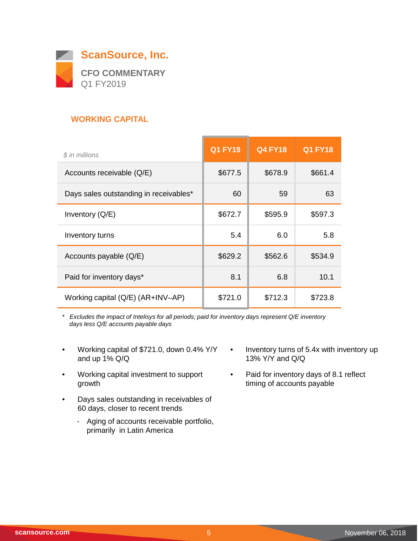

## **WORKING CAPITAL**

| \$ in millions                         | <b>Q1 FY19</b> | <b>Q4 FY18</b> | <b>Q1 FY18</b> |
|----------------------------------------|----------------|----------------|----------------|
| Accounts receivable (Q/E)              | \$677.5        | \$678.9        | \$661.4        |
| Days sales outstanding in receivables* | 60             | 59             | 63             |
| Inventory $(Q/E)$                      | \$672.7        | \$595.9        | \$597.3        |
| Inventory turns                        | 5.4            | 6.0            | 5.8            |
| Accounts payable (Q/E)                 | \$629.2        | \$562.6        | \$534.9        |
| Paid for inventory days*               | 8.1            | 6.8            | 10.1           |
| Working capital (Q/E) (AR+INV-AP)      | \$721.0        | \$712.3        | \$723.8        |

*\* Excludes the impact of Intelisys for all periods; paid for inventory days represent Q/E inventory days less Q/E accounts payable days*

- Working capital of \$721.0, down 0.4% Y/Y and up 1% Q/Q
- Working capital investment to support growth
- Days sales outstanding in receivables of 60 days, closer to recent trends
	- Aging of accounts receivable portfolio, primarily in Latin America
- Inventory turns of 5.4x with inventory up 13% Y/Y and Q/Q
- Paid for inventory days of 8.1 reflect timing of accounts payable

 $\overline{\phantom{0}}$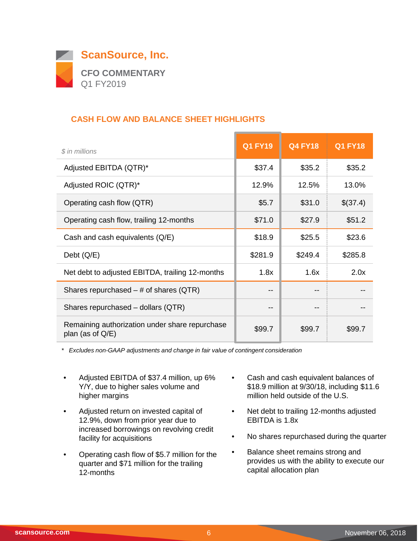

## **CASH FLOW AND BALANCE SHEET HIGHLIGHTS**

| $$$ in millions                                                       | <b>Q1 FY19</b> | <b>Q4 FY18</b> | <b>Q1 FY18</b> |
|-----------------------------------------------------------------------|----------------|----------------|----------------|
| Adjusted EBITDA (QTR)*                                                | \$37.4         | \$35.2         | \$35.2         |
| Adjusted ROIC (QTR)*                                                  | 12.9%          | 12.5%          | 13.0%          |
| Operating cash flow (QTR)                                             | \$5.7          | \$31.0         | \$(37.4)       |
| Operating cash flow, trailing 12-months                               | \$71.0         | \$27.9         | \$51.2         |
| Cash and cash equivalents (Q/E)                                       | \$18.9         | \$25.5         | \$23.6         |
| Debt $(Q/E)$                                                          | \$281.9        | \$249.4        | \$285.8        |
| Net debt to adjusted EBITDA, trailing 12-months                       | 1.8x           | 1.6x           | 2.0x           |
| Shares repurchased $-$ # of shares (QTR)                              | --             |                |                |
| Shares repurchased - dollars (QTR)                                    | --             |                |                |
| Remaining authorization under share repurchase<br>plan (as of $Q/E$ ) | \$99.7         | \$99.7         | \$99.7         |

*\* Excludes non-GAAP adjustments and change in fair value of contingent consideration*

- Adjusted EBITDA of \$37.4 million, up 6% Y/Y, due to higher sales volume and higher margins
- Adjusted return on invested capital of 12.9%, down from prior year due to increased borrowings on revolving credit facility for acquisitions
- Operating cash flow of \$5.7 million for the quarter and \$71 million for the trailing 12-months
- Cash and cash equivalent balances of \$18.9 million at 9/30/18, including \$11.6 million held outside of the U.S.
- Net debt to trailing 12-months adjusted EBITDA is 1.8x
- No shares repurchased during the quarter
- Balance sheet remains strong and provides us with the ability to execute our capital allocation plan

 $\overline{\phantom{a}}$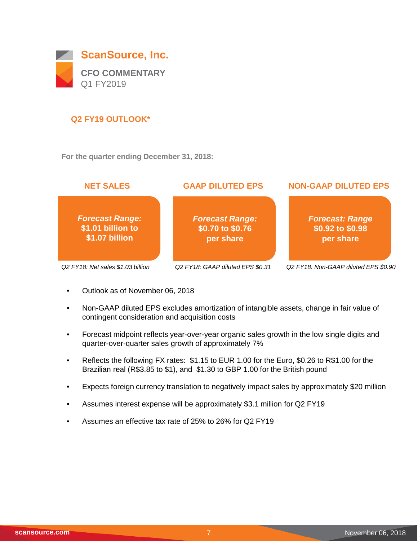

## **Q2 FY19 OUTLOOK\***

**For the quarter ending December 31, 2018:**



- Outlook as of November 06, 2018
- Non-GAAP diluted EPS excludes amortization of intangible assets, change in fair value of contingent consideration and acquisition costs
- Forecast midpoint reflects year-over-year organic sales growth in the low single digits and quarter-over-quarter sales growth of approximately 7%
- Reflects the following FX rates: \$1.15 to EUR 1.00 for the Euro, \$0.26 to R\$1.00 for the Brazilian real (R\$3.85 to \$1), and \$1.30 to GBP 1.00 for the British pound
- Expects foreign currency translation to negatively impact sales by approximately \$20 million
- Assumes interest expense will be approximately \$3.1 million for Q2 FY19
- Assumes an effective tax rate of 25% to 26% for Q2 FY19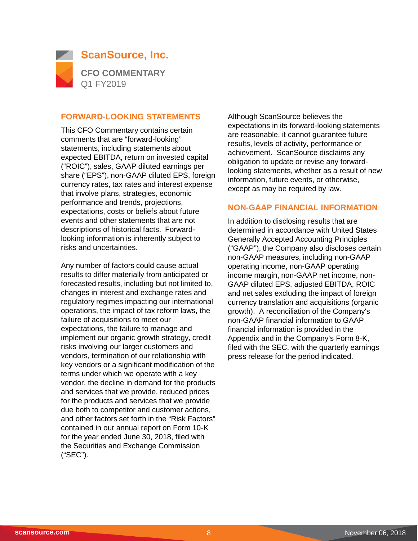

#### **FORWARD-LOOKING STATEMENTS**

This CFO Commentary contains certain comments that are "forward-looking" statements, including statements about expected EBITDA, return on invested capital ("ROIC"), sales, GAAP diluted earnings per share ("EPS"), non-GAAP diluted EPS, foreign currency rates, tax rates and interest expense that involve plans, strategies, economic performance and trends, projections, expectations, costs or beliefs about future events and other statements that are not descriptions of historical facts. Forwardlooking information is inherently subject to risks and uncertainties.

Any number of factors could cause actual results to differ materially from anticipated or forecasted results, including but not limited to, changes in interest and exchange rates and regulatory regimes impacting our international operations, the impact of tax reform laws, the failure of acquisitions to meet our expectations, the failure to manage and implement our organic growth strategy, credit risks involving our larger customers and vendors, termination of our relationship with key vendors or a significant modification of the terms under which we operate with a key vendor, the decline in demand for the products and services that we provide, reduced prices for the products and services that we provide due both to competitor and customer actions, and other factors set forth in the "Risk Factors" contained in our annual report on Form 10-K for the year ended June 30, 2018, filed with the Securities and Exchange Commission ("SEC").

Although ScanSource believes the expectations in its forward-looking statements are reasonable, it cannot guarantee future results, levels of activity, performance or achievement. ScanSource disclaims any obligation to update or revise any forwardlooking statements, whether as a result of new information, future events, or otherwise, except as may be required by law.

#### **NON-GAAP FINANCIAL INFORMATION**

In addition to disclosing results that are determined in accordance with United States Generally Accepted Accounting Principles ("GAAP"), the Company also discloses certain non-GAAP measures, including non-GAAP operating income, non-GAAP operating income margin, non-GAAP net income, non-GAAP diluted EPS, adjusted EBITDA, ROIC and net sales excluding the impact of foreign currency translation and acquisitions (organic growth). A reconciliation of the Company's non-GAAP financial information to GAAP financial information is provided in the Appendix and in the Company's Form 8-K, filed with the SEC, with the quarterly earnings press release for the period indicated.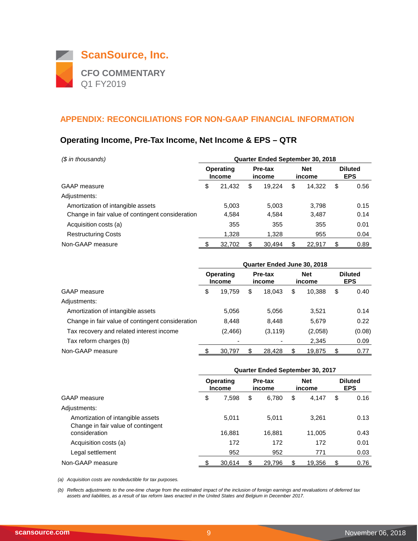

## **Operating Income, Pre-Tax Income, Net Income & EPS – QTR**

| (\$ in thousands)                                | <b>Quarter Ended September 30, 2018</b> |                            |    |                   |    |                      |    |                              |  |
|--------------------------------------------------|-----------------------------------------|----------------------------|----|-------------------|----|----------------------|----|------------------------------|--|
|                                                  |                                         | Operating<br><b>Income</b> |    | Pre-tax<br>income |    | <b>Net</b><br>income |    | <b>Diluted</b><br><b>EPS</b> |  |
| <b>GAAP</b> measure                              | \$                                      | 21.432                     | \$ | 19.224            | \$ | 14.322               | \$ | 0.56                         |  |
| Adjustments:                                     |                                         |                            |    |                   |    |                      |    |                              |  |
| Amortization of intangible assets                |                                         | 5.003                      |    | 5.003             |    | 3.798                |    | 0.15                         |  |
| Change in fair value of contingent consideration |                                         | 4,584                      |    | 4,584             |    | 3,487                |    | 0.14                         |  |
| Acquisition costs (a)                            |                                         | 355                        |    | 355               |    | 355                  |    | 0.01                         |  |
| <b>Restructuring Costs</b>                       |                                         | 1,328                      |    | 1.328             |    | 955                  |    | 0.04                         |  |
| Non-GAAP measure                                 |                                         | 32,702                     |    | 30.494            | \$ | 22.917               | \$ | 0.89                         |  |

|                                                  | Quarter Ended June 30, 2018 |                                   |    |                   |    |                      |    |                              |  |
|--------------------------------------------------|-----------------------------|-----------------------------------|----|-------------------|----|----------------------|----|------------------------------|--|
|                                                  |                             | <b>Operating</b><br><b>Income</b> |    | Pre-tax<br>income |    | <b>Net</b><br>income |    | <b>Diluted</b><br><b>EPS</b> |  |
| <b>GAAP</b> measure                              | \$                          | 19,759                            | \$ | 18.043            | \$ | 10,388               | \$ | 0.40                         |  |
| Adjustments:                                     |                             |                                   |    |                   |    |                      |    |                              |  |
| Amortization of intangible assets                |                             | 5,056                             |    | 5,056             |    | 3,521                |    | 0.14                         |  |
| Change in fair value of contingent consideration |                             | 8,448                             |    | 8.448             |    | 5,679                |    | 0.22                         |  |
| Tax recovery and related interest income         |                             | (2, 466)                          |    | (3, 119)          |    | (2,058)              |    | (0.08)                       |  |
| Tax reform charges (b)                           |                             |                                   |    |                   |    | 2,345                |    | 0.09                         |  |
| Non-GAAP measure                                 |                             | 30,797                            |    | 28,428            |    | 19,875               | \$ | 0.77                         |  |

|                                                                         | Quarter Ended September 30, 2017 |                            |    |                   |    |                      |    |                              |  |
|-------------------------------------------------------------------------|----------------------------------|----------------------------|----|-------------------|----|----------------------|----|------------------------------|--|
|                                                                         |                                  | Operating<br><b>Income</b> |    | Pre-tax<br>income |    | <b>Net</b><br>income |    | <b>Diluted</b><br><b>EPS</b> |  |
| <b>GAAP</b> measure                                                     | \$                               | 7,598                      | \$ | 6,780             | \$ | 4,147                | \$ | 0.16                         |  |
| Adjustments:                                                            |                                  |                            |    |                   |    |                      |    |                              |  |
| Amortization of intangible assets<br>Change in fair value of contingent |                                  | 5.011                      |    | 5.011             |    | 3.261                |    | 0.13                         |  |
| consideration                                                           |                                  | 16.881                     |    | 16.881            |    | 11,005               |    | 0.43                         |  |
| Acquisition costs (a)                                                   |                                  | 172                        |    | 172               |    | 172                  |    | 0.01                         |  |
| Legal settlement                                                        |                                  | 952                        |    | 952               |    | 771                  |    | 0.03                         |  |
| Non-GAAP measure                                                        |                                  | 30,614                     |    | 29,796            | \$ | 19,356               | \$ | 0.76                         |  |

*(a) Acquisition costs are nondeductible for tax purposes.*

*(b) Reflects adjustments to the one-time charge from the estimated impact of the inclusion of foreign earnings and revaluations of deferred tax assets and liabilities, as a result of tax reform laws enacted in the United States and Belgium in December 2017.*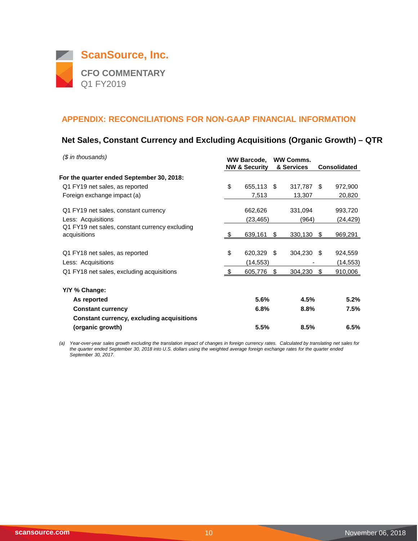

## **Net Sales, Constant Currency and Excluding Acquisitions (Organic Growth) – QTR**

| $$$ in thousands)                                              |      | <b>WW Barcode,</b><br><b>NW &amp; Security</b> |      | <b>WW Comms.</b><br>& Services |      | <b>Consolidated</b> |
|----------------------------------------------------------------|------|------------------------------------------------|------|--------------------------------|------|---------------------|
| For the quarter ended September 30, 2018:                      |      |                                                |      |                                |      |                     |
| Q1 FY19 net sales, as reported                                 | \$   | 655,113                                        | - \$ | 317,787                        | - \$ | 972,900             |
| Foreign exchange impact (a)                                    |      | 7,513                                          |      | 13,307                         |      | 20,820              |
| Q1 FY19 net sales, constant currency                           |      | 662,626                                        |      | 331,094                        |      | 993,720             |
| Less: Acquisitions                                             |      | (23,465)                                       |      | (964)                          |      | (24,429)            |
| Q1 FY19 net sales, constant currency excluding<br>acquisitions | - \$ | 639,161                                        | S    | 330,130                        | \$   | 969,291             |
| Q1 FY18 net sales, as reported                                 | \$   | 620,329                                        | \$.  | 304,230                        | -S   | 924,559             |
| Less: Acquisitions                                             |      | (14,553)                                       |      |                                |      | (14,553)            |
| Q1 FY18 net sales, excluding acquisitions                      | - \$ | 605,776                                        | S    | 304,230                        | \$   | 910,006             |
| Y/Y % Change:                                                  |      |                                                |      |                                |      |                     |
| As reported                                                    |      | 5.6%                                           |      | 4.5%                           |      | 5.2%                |
| <b>Constant currency</b>                                       |      | 6.8%                                           |      | 8.8%                           |      | 7.5%                |
| <b>Constant currency, excluding acquisitions</b>               |      |                                                |      |                                |      |                     |
| (organic growth)                                               |      | 5.5%                                           |      | 8.5%                           |      | 6.5%                |

*(a) Year-over-year sales growth excluding the translation impact of changes in foreign currency rates. Calculated by translating net sales for the quarter ended September 30, 2018 into U.S. dollars using the weighted average foreign exchange rates for the quarter ended September 30, 2017.*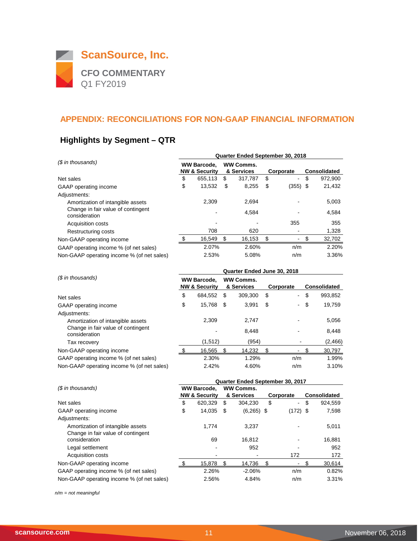

# **Highlights by Segment – QTR**

|                                                     |                                                | Quarter Ended September 30, 2018 |                                |         |           |                |    |                     |  |  |  |
|-----------------------------------------------------|------------------------------------------------|----------------------------------|--------------------------------|---------|-----------|----------------|----|---------------------|--|--|--|
| (\$ in thousands)                                   | <b>WW Barcode,</b><br><b>NW &amp; Security</b> |                                  | <b>WW Comms.</b><br>& Services |         | Corporate |                |    | <b>Consolidated</b> |  |  |  |
| Net sales                                           | \$                                             | 655,113                          | \$                             | 317.787 | \$        | $\blacksquare$ | \$ | 972,900             |  |  |  |
| GAAP operating income                               | \$                                             | 13,532                           | \$                             | 8,255   | S         | $(355)$ \$     |    | 21,432              |  |  |  |
| Adjustments:                                        |                                                |                                  |                                |         |           |                |    |                     |  |  |  |
| Amortization of intangible assets                   |                                                | 2.309                            |                                | 2.694   |           |                |    | 5,003               |  |  |  |
| Change in fair value of contingent<br>consideration |                                                |                                  |                                | 4,584   |           |                |    | 4,584               |  |  |  |
| Acquisition costs                                   |                                                |                                  |                                |         |           | 355            |    | 355                 |  |  |  |
| Restructuring costs                                 |                                                | 708                              |                                | 620     |           |                |    | 1,328               |  |  |  |
| Non-GAAP operating income                           |                                                | 16,549                           | \$                             | 16,153  | \$        |                | S  | 32,702              |  |  |  |
| GAAP operating income % (of net sales)              |                                                | 2.07%                            |                                | 2.60%   |           | n/m            |    | 2.20%               |  |  |  |
| Non-GAAP operating income % (of net sales)          |                                                | 2.53%                            |                                | 5.08%   |           | n/m            |    | 3.36%               |  |  |  |

| (\$ in thousands)                                   |    | Quarter Ended June 30, 2018                    |      |                                |    |                          |                     |         |  |  |  |
|-----------------------------------------------------|----|------------------------------------------------|------|--------------------------------|----|--------------------------|---------------------|---------|--|--|--|
|                                                     |    | <b>WW Barcode,</b><br><b>NW &amp; Security</b> |      | <b>WW Comms.</b><br>& Services |    | Corporate                | <b>Consolidated</b> |         |  |  |  |
| Net sales                                           | \$ | 684,552                                        | \$.  | 309,300                        | S  | ٠                        | \$                  | 993,852 |  |  |  |
| GAAP operating income                               | \$ | 15,768                                         | - \$ | 3.991                          | \$ | $\overline{\phantom{0}}$ | \$                  | 19,759  |  |  |  |
| Adjustments:                                        |    |                                                |      |                                |    |                          |                     |         |  |  |  |
| Amortization of intangible assets                   |    | 2.309                                          |      | 2.747                          |    |                          |                     | 5,056   |  |  |  |
| Change in fair value of contingent<br>consideration |    |                                                |      | 8.448                          |    |                          |                     | 8,448   |  |  |  |
| Tax recovery                                        |    | (1,512)                                        |      | (954)                          |    |                          |                     | (2,466) |  |  |  |
| Non-GAAP operating income                           |    | 16.565                                         | \$   | 14.232                         |    |                          |                     | 30,797  |  |  |  |
| GAAP operating income % (of net sales)              |    | 2.30%                                          |      | 1.29%                          |    | n/m                      |                     | 1.99%   |  |  |  |
| Non-GAAP operating income % (of net sales)          |    | 2.42%                                          |      | 4.60%                          |    | n/m                      |                     | 3.10%   |  |  |  |

| Quarter Ended September 30, 2017 |         |                                                |          |            |              |                     |            |  |
|----------------------------------|---------|------------------------------------------------|----------|------------|--------------|---------------------|------------|--|
|                                  |         | <b>WW Comms.</b>                               |          |            |              |                     |            |  |
|                                  |         |                                                |          |            |              | <b>Consolidated</b> |            |  |
| \$                               | 620.329 | \$                                             | 304.230  | \$         | $\sim$       | \$                  | 924,559    |  |
| \$                               | 14,035  | -S                                             |          |            |              |                     | 7,598      |  |
|                                  |         |                                                |          |            |              |                     |            |  |
|                                  | 1.774   |                                                | 3.237    |            |              |                     | 5,011      |  |
|                                  |         |                                                |          |            |              |                     |            |  |
|                                  | 69      |                                                | 16.812   |            |              |                     | 16,881     |  |
|                                  |         |                                                | 952      |            |              |                     | 952        |  |
|                                  |         |                                                |          |            | 172          |                     | 172        |  |
|                                  | 15,878  | \$.                                            | 14.736   |            |              |                     | 30,614     |  |
|                                  | 2.26%   |                                                | $-2.06%$ |            | n/m          |                     | 0.82%      |  |
|                                  | 2.56%   |                                                | 4.84%    |            | n/m          |                     | 3.31%      |  |
|                                  |         | <b>WW Barcode,</b><br><b>NW &amp; Security</b> |          | & Services | $(6,265)$ \$ | Corporate           | $(172)$ \$ |  |

*n/m = not meaningful*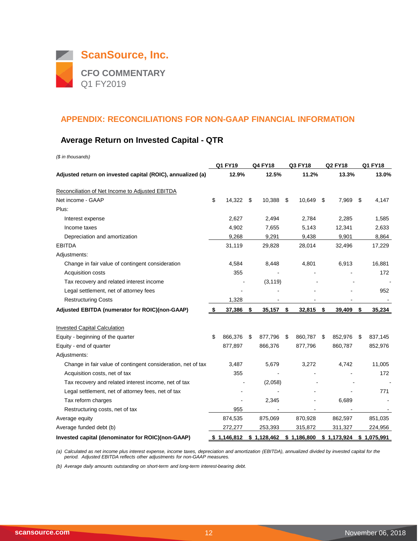

## **Average Return on Invested Capital - QTR**

| (\$ in thousands)                                            |     |             |                |               |                |      |             |
|--------------------------------------------------------------|-----|-------------|----------------|---------------|----------------|------|-------------|
|                                                              |     | Q1 FY19     | <b>Q4 FY18</b> | Q3 FY18       | <b>Q2 FY18</b> |      | Q1 FY18     |
| Adjusted return on invested capital (ROIC), annualized (a)   |     | 12.9%       | 12.5%          | 11.2%         | 13.3%          |      | 13.0%       |
| Reconciliation of Net Income to Adjusted EBITDA              |     |             |                |               |                |      |             |
| Net income - GAAP                                            | \$  | 14,322      | \$<br>10,388   | \$<br>10,649  | \$<br>7,969    | -\$  | 4,147       |
| Plus:                                                        |     |             |                |               |                |      |             |
| Interest expense                                             |     | 2,627       | 2,494          | 2,784         | 2,285          |      | 1,585       |
| Income taxes                                                 |     | 4,902       | 7,655          | 5,143         | 12,341         |      | 2,633       |
| Depreciation and amortization                                |     | 9,268       | 9,291          | 9,438         | 9,901          |      | 8,864       |
| <b>EBITDA</b>                                                |     | 31,119      | 29,828         | 28,014        | 32,496         |      | 17,229      |
| Adjustments:                                                 |     |             |                |               |                |      |             |
| Change in fair value of contingent consideration             |     | 4,584       | 8,448          | 4,801         | 6,913          |      | 16,881      |
| Acquisition costs                                            |     | 355         |                |               |                |      | 172         |
| Tax recovery and related interest income                     |     |             | (3, 119)       |               |                |      |             |
| Legal settlement, net of attorney fees                       |     |             |                |               |                |      | 952         |
| <b>Restructuring Costs</b>                                   |     | 1,328       |                |               |                |      |             |
| Adjusted EBITDA (numerator for ROIC)(non-GAAP)               | -\$ | 37,386      | \$<br>35,157   | \$<br>32,815  | \$<br>39,409   | \$   | 35,234      |
| <b>Invested Capital Calculation</b>                          |     |             |                |               |                |      |             |
| Equity - beginning of the quarter                            | \$  | 866,376     | \$<br>877,796  | \$<br>860,787 | \$<br>852,976  | - \$ | 837,145     |
| Equity - end of quarter                                      |     | 877,897     | 866,376        | 877,796       | 860,787        |      | 852,976     |
| Adjustments:                                                 |     |             |                |               |                |      |             |
| Change in fair value of contingent consideration, net of tax |     | 3,487       | 5,679          | 3,272         | 4,742          |      | 11,005      |
| Acquisition costs, net of tax                                |     | 355         |                |               |                |      | 172         |
| Tax recovery and related interest income, net of tax         |     |             | (2,058)        |               |                |      |             |
| Legal settlement, net of attorney fees, net of tax           |     |             |                |               |                |      | 771         |
| Tax reform charges                                           |     |             | 2,345          |               | 6,689          |      |             |
| Restructuring costs, net of tax                              |     | 955         |                |               |                |      |             |
| Average equity                                               |     | 874,535     | 875,069        | 870,928       | 862,597        |      | 851,035     |
| Average funded debt (b)                                      |     | 272,277     | 253,393        | 315,872       | 311,327        |      | 224,956     |
| Invested capital (denominator for ROIC)(non-GAAP)            |     | \$1,146,812 | \$1,128,462    | \$1,186,800   | \$1,173,924    |      | \$1,075,991 |

*(a) Calculated as net income plus interest expense, income taxes, depreciation and amortization (EBITDA), annualized divided by invested capital for the period. Adjusted EBITDA reflects other adjustments for non-GAAP measures.*

*(b) Average daily amounts outstanding on short-term and long-term interest-bearing debt.*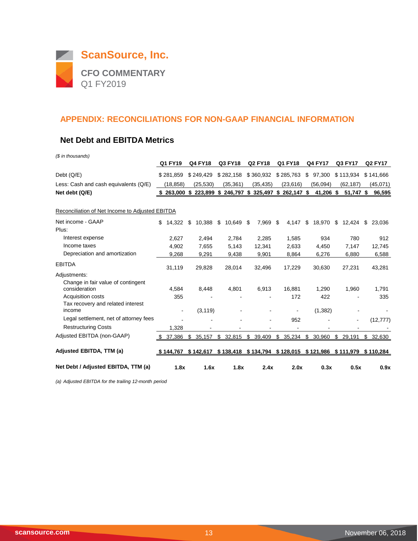

#### **Net Debt and EBITDA Metrics**

*(\$ in thousands)*

|                                                     | Q1 FY19                  | <b>Q4 FY18</b> | Q3 FY18     | <b>Q2 FY18</b>                              | Q1 FY18        | <b>Q4 FY17</b> | Q3 FY17      | <b>Q2 FY17</b> |
|-----------------------------------------------------|--------------------------|----------------|-------------|---------------------------------------------|----------------|----------------|--------------|----------------|
| Debt (Q/E)                                          | \$281,859                | \$249,429      | \$282,158   | \$360,932                                   | \$285,763      | \$<br>97,300   | \$113,934    | \$141,666      |
| Less: Cash and cash equivalents (Q/E)               | (18, 858)                | (25, 530)      | (35, 361)   | (35, 435)                                   | (23, 616)      | (56,094)       | (62, 187)    | (45,071)       |
| Net debt (Q/E)                                      | 263,000                  | $$223,899$ \$  |             | 246,797 \$ 325,497 \$                       | 262,147 \$     | 41,206 \$      | 51,747 \$    | 96,595         |
| Reconciliation of Net Income to Adjusted EBITDA     |                          |                |             |                                             |                |                |              |                |
| Net income - GAAP                                   | \$<br>14.322             | 10,388<br>S    | 10,649<br>S | -\$<br>7,969                                | 4,147<br>\$.   | \$<br>18,970   | \$<br>12,424 | \$<br>23,036   |
| Plus:                                               |                          |                |             |                                             |                |                |              |                |
| Interest expense                                    | 2,627                    | 2,494          | 2,784       | 2,285                                       | 1,585          | 934            | 780          | 912            |
| Income taxes                                        | 4,902                    | 7,655          | 5,143       | 12,341                                      | 2,633          | 4,450          | 7,147        | 12,745         |
| Depreciation and amortization                       | 9,268                    | 9,291          | 9,438       | 9,901                                       | 8,864          | 6,276          | 6,880        | 6,588          |
| <b>EBITDA</b>                                       | 31,119                   | 29,828         | 28,014      | 32,496                                      | 17,229         | 30,630         | 27,231       | 43,281         |
| Adjustments:                                        |                          |                |             |                                             |                |                |              |                |
| Change in fair value of contingent<br>consideration | 4,584                    | 8,448          | 4,801       | 6,913                                       | 16,881         | 1,290          | 1,960        | 1,791          |
| Acquisition costs                                   | 355                      |                |             |                                             | 172            | 422            |              | 335            |
| Tax recovery and related interest<br>income         | $\overline{\phantom{a}}$ | (3, 119)       |             |                                             | $\blacksquare$ | (1, 382)       |              |                |
| Legal settlement, net of attorney fees              |                          |                |             |                                             | 952            |                |              | (12, 777)      |
| <b>Restructuring Costs</b>                          | 1,328                    |                |             |                                             |                |                |              |                |
| Adjusted EBITDA (non-GAAP)                          | \$37,386                 | \$<br>35,157   | \$32,815    | \$ 39,409                                   | \$35,234       | \$<br>30,960   | \$29,191     | \$32,630       |
| Adjusted EBITDA, TTM (a)                            | \$144,767                | \$142,617      |             | $$138,418$ $$134,794$ $$128,015$ $$121,986$ |                |                | \$111,979    | \$110,284      |
| Net Debt / Adjusted EBITDA, TTM (a)                 | 1.8x                     | 1.6x           | 1.8x        | 2.4x                                        | 2.0x           | 0.3x           | 0.5x         | 0.9x           |

*(a) Adjusted EBITDA for the trailing 12-month period*